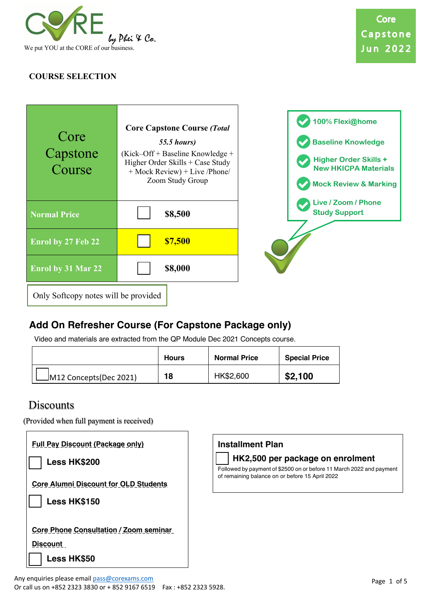

## **COURSE SELECTION**



# **Add On Refresher Course (For Capstone Package only)**

Video and materials are extracted from the QP Module Dec 2021 Concepts course.

|                        | <b>Hours</b> | <b>Normal Price</b> | <b>Special Price</b> |
|------------------------|--------------|---------------------|----------------------|
| M12 Concepts(Dec 2021) | 18           | HK\$2,600           | \$2,100              |

# **Discounts**

(Provided when full payment is received)

| <b>Full Pay Discount (Package only)</b><br><b>Less HK\$200</b> |
|----------------------------------------------------------------|
| <b>Core Alumni Discount for OLD Students</b><br>Less HK\$150   |
| <b>Core Phone Consultation / Zoom seminar</b>                  |
| Discount                                                       |
| <b>Less HK\$50</b>                                             |



## o **HK2,500 per package on enrolment**

Followed by payment of \$2500 on or before 11 March 2022 and payment of remaining balance on or before 15 April 2022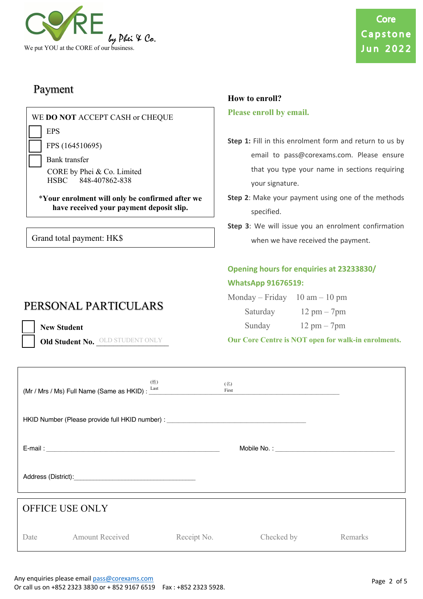

# Payment

| WE DO NOT ACCEPT CASH or CHEQUE                                                                          | Please enroll by email.                                                                                                                       |
|----------------------------------------------------------------------------------------------------------|-----------------------------------------------------------------------------------------------------------------------------------------------|
| <b>EPS</b><br>FPS (164510695)<br>Bank transfer<br>CORE by Phei & Co. Limited<br>848-407862-838<br>HSBC - | Step 1: Fill in this enrolment form and return<br>email to pass@corexams.com. Pleas<br>that you type your name in sections<br>your signature. |
| *Your enrolment will only be confirmed after we<br>have received your payment deposit slip.              | Step 2: Make your payment using one of the<br>specified.                                                                                      |
| Grand total payment: HK\$                                                                                | Step 3: We will issue you an enrolment con<br>when we have received the payment.                                                              |

# PERSONAL PARTICULARS

**New Student** 

Old Student No. *OLD STUDENT ONLY* 

to us by e ensure requiring

**How to enroll?**

- methods
- firmation

# **Opening hours for enquiries at 23233830/ WhatsApp 91676519:**

| Monday – Friday $10 \text{ am} - 10 \text{ pm}$ |                               |
|-------------------------------------------------|-------------------------------|
| Saturday                                        | $12 \text{ pm} - 7 \text{pm}$ |

Sunday 12 pm – 7pm

| Our Core Centre is NOT open for walk-in enrolments. |  |
|-----------------------------------------------------|--|
|-----------------------------------------------------|--|

|                        | (Mr / Mrs / Ms) Full Name (Same as HKID): Last | (姓)         | (名)<br>First<br><u> 1989 - John Stein, Amerikaansk politiker (</u>                |         |  |
|------------------------|------------------------------------------------|-------------|-----------------------------------------------------------------------------------|---------|--|
|                        |                                                |             | HKID Number (Please provide full HKID number) : _________________________________ |         |  |
|                        |                                                |             |                                                                                   |         |  |
|                        |                                                |             |                                                                                   |         |  |
| <b>OFFICE USE ONLY</b> |                                                |             |                                                                                   |         |  |
|                        | Date Amount Received                           | Receipt No. | Checked by                                                                        | Remarks |  |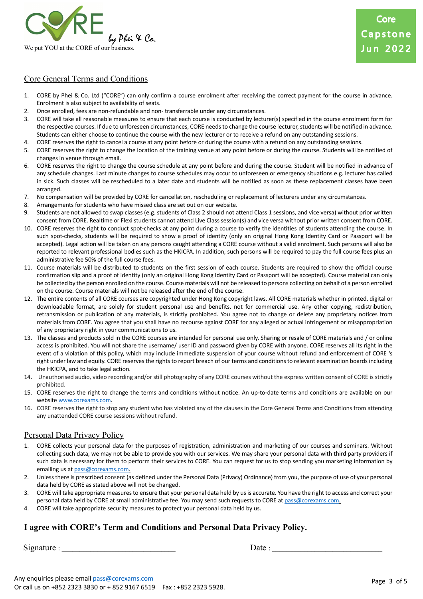

### Core General Terms and Conditions

- 1. CORE by Phei & Co. Ltd ("CORE") can only confirm a course enrolment after receiving the correct payment for the course in advance. Enrolment is also subject to availability of seats.
- 2. Once enrolled, fees are non-refundable and non- transferrable under any circumstances.
- 3. CORE will take all reasonable measures to ensure that each course is conducted by lecturer(s) specified in the course enrolment form for the respective courses. If due to unforeseen circumstances, CORE needs to change the course lecturer, students will be notified in advance. Students can either choose to continue the course with the new lecturer or to receive a refund on any outstanding sessions.
- 4. CORE reserves the right to cancel a course at any point before or during the course with a refund on any outstanding sessions.
- 5. CORE reserves the right to change the location of the training venue at any point before or during the course. Students will be notified of changes in venue through email.
- 6. CORE reserves the right to change the course schedule at any point before and during the course. Student will be notified in advance of any schedule changes. Last minute changes to course schedules may occur to unforeseen or emergency situations e.g. lecturer has called in sick. Such classes will be rescheduled to a later date and students will be notified as soon as these replacement classes have been arranged.
- 7. No compensation will be provided by CORE for cancellation, rescheduling or replacement of lecturers under any circumstances.
- 8. Arrangements for students who have missed class are set out on our website.
- 9. Students are not allowed to swap classes (e.g. students of Class 2 should not attend Class 1 sessions, and vice versa) without prior written consent from CORE. Realtime or Flexi students cannot attend Live Class session(s) and vice versa without prior written consent from CORE.
- 10. CORE reserves the right to conduct spot-checks at any point during a course to verify the identities of students attending the course. In such spot-checks, students will be required to show a proof of identity (only an original Hong Kong Identity Card or Passport will be accepted). Legal action will be taken on any persons caught attending a CORE course without a valid enrolment. Such persons will also be reported to relevant professional bodies such as the HKICPA. In addition, such persons will be required to pay the full course fees plus an administrative fee 50% of the full course fees.
- 11. Course materials will be distributed to students on the first session of each course. Students are required to show the official course confirmation slip and a proof of identity (only an original Hong Kong Identity Card or Passport will be accepted). Course material can only be collected by the person enrolled on the course. Course materials will not be released to persons collecting on behalf of a person enrolled on the course. Course materials will not be released after the end of the course.
- 12. The entire contents of all CORE courses are copyrighted under Hong Kong copyright laws. All CORE materials whether in printed, digital or downloadable format, are solely for student personal use and benefits, not for commercial use. Any other copying, redistribution, retransmission or publication of any materials, is strictly prohibited. You agree not to change or delete any proprietary notices from materials from CORE. You agree that you shall have no recourse against CORE for any alleged or actual infringement or misappropriation of any proprietary right in your communications to us.
- 13. The classes and products sold in the CORE courses are intended for personal use only. Sharing or resale of CORE materials and / or online access is prohibited. You will not share the username/ user ID and password given by CORE with anyone. CORE reserves all its right in the event of a violation of this policy, which may include immediate suspension of your course without refund and enforcement of CORE 's right under law and equity. CORE reserves the rights to report breach of our terms and conditions to relevant examination boards including the HKICPA, and to take legal action.
- 14. Unauthorised audio, video recording and/or still photography of any CORE courses without the express written consent of CORE is strictly prohibited.
- 15. CORE reserves the right to change the terms and conditions without notice. An up-to-date terms and conditions are available on our website www.corexams.com.
- 16. CORE reserves the right to stop any student who has violated any of the clauses in the Core General Terms and Conditions from attending any unattended CORE course sessions without refund.

#### Personal Data Privacy Policy

- 1. CORE collects your personal data for the purposes of registration, administration and marketing of our courses and seminars. Without collecting such data, we may not be able to provide you with our services. We may share your personal data with third party providers if such data is necessary for them to perform their services to CORE. You can request for us to stop sending you marketing information by emailing us at pass@corexams.com.
- 2. Unless there is prescribed consent (as defined under the Personal Data (Privacy) Ordinance) from you, the purpose of use of your personal data held by CORE as stated above will not be changed.
- 3. CORE will take appropriate measures to ensure that your personal data held by us is accurate. You have the right to access and correct your personal data held by CORE at small administrative fee. You may send such requests to CORE at pass@corexams.com.
- 4. CORE will take appropriate security measures to protect your personal data held by us.

### **I agree with CORE's Term and Conditions and Personal Data Privacy Policy.**

Signature : \_\_\_\_\_\_\_\_\_\_\_\_\_\_\_\_\_\_\_\_\_\_\_\_\_\_\_\_\_\_\_\_ Date : \_\_\_\_\_\_\_\_\_\_\_\_\_\_\_\_\_\_\_\_\_\_\_\_\_\_\_\_\_\_\_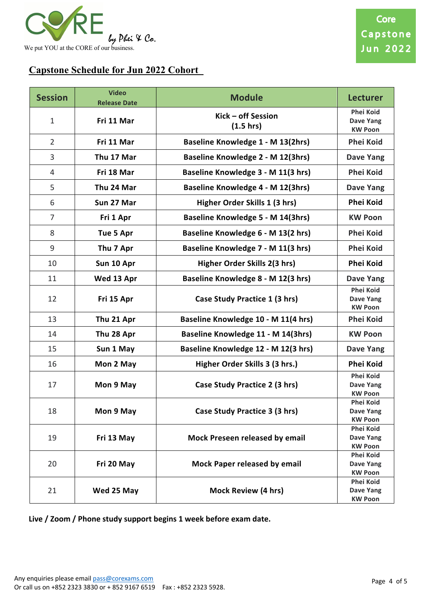

## **Capstone Schedule for Jun 2022 Cohort**

| <b>Session</b> | <b>Video</b><br><b>Release Date</b> | <b>Module</b>                        | <b>Lecturer</b>                                        |
|----------------|-------------------------------------|--------------------------------------|--------------------------------------------------------|
| $\mathbf{1}$   | Fri 11 Mar                          | Kick - off Session<br>(1.5 hrs)      | <b>Phei Koid</b><br><b>Dave Yang</b><br><b>KW Poon</b> |
| $\overline{2}$ | Fri 11 Mar                          | Baseline Knowledge 1 - M 13(2hrs)    | <b>Phei Koid</b>                                       |
| 3              | Thu 17 Mar                          | Baseline Knowledge 2 - M 12(3hrs)    | <b>Dave Yang</b>                                       |
| $\overline{4}$ | Fri 18 Mar                          | Baseline Knowledge 3 - M 11(3 hrs)   | <b>Phei Koid</b>                                       |
| 5              | Thu 24 Mar                          | Baseline Knowledge 4 - M 12(3hrs)    | <b>Dave Yang</b>                                       |
| 6              | Sun 27 Mar                          | Higher Order Skills 1 (3 hrs)        | <b>Phei Koid</b>                                       |
| $\overline{7}$ | Fri 1 Apr                           | Baseline Knowledge 5 - M 14(3hrs)    | <b>KW Poon</b>                                         |
| 8              | Tue 5 Apr                           | Baseline Knowledge 6 - M 13(2 hrs)   | <b>Phei Koid</b>                                       |
| 9              | Thu 7 Apr                           | Baseline Knowledge 7 - M 11(3 hrs)   | <b>Phei Koid</b>                                       |
| 10             | Sun 10 Apr                          | Higher Order Skills 2(3 hrs)         | <b>Phei Koid</b>                                       |
| 11             | Wed 13 Apr                          | Baseline Knowledge 8 - M 12(3 hrs)   | <b>Dave Yang</b>                                       |
| 12             | Fri 15 Apr                          | Case Study Practice 1 (3 hrs)        | <b>Phei Koid</b><br><b>Dave Yang</b><br><b>KW Poon</b> |
| 13             | Thu 21 Apr                          | Baseline Knowledge 10 - M 11(4 hrs)  | <b>Phei Koid</b>                                       |
| 14             | Thu 28 Apr                          | Baseline Knowledge 11 - M 14(3hrs)   | <b>KW Poon</b>                                         |
| 15             | Sun 1 May                           | Baseline Knowledge 12 - M 12(3 hrs)  | <b>Dave Yang</b>                                       |
| 16             | Mon 2 May                           | Higher Order Skills 3 (3 hrs.)       | <b>Phei Koid</b>                                       |
| 17             | Mon 9 May                           | Case Study Practice 2 (3 hrs)        | <b>Phei Koid</b><br><b>Dave Yang</b><br><b>KW Poon</b> |
| 18             | Mon 9 May                           | <b>Case Study Practice 3 (3 hrs)</b> | Phei Koid<br>Dave Yang<br><b>KW Poon</b>               |
| 19             | Fri 13 May                          | Mock Preseen released by email       | <b>Phei Koid</b><br>Dave Yang<br><b>KW Poon</b>        |
| 20             | Fri 20 May                          | <b>Mock Paper released by email</b>  | <b>Phei Koid</b><br>Dave Yang<br><b>KW Poon</b>        |
| 21             | Wed 25 May                          | Mock Review (4 hrs)                  | <b>Phei Koid</b><br>Dave Yang<br><b>KW Poon</b>        |

**Live / Zoom / Phone study support begins 1 week before exam date.**